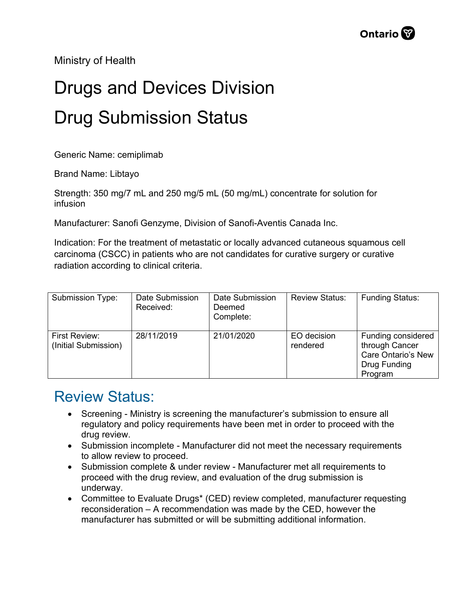Ministry of Health

## Drugs and Devices Division Drug Submission Status

Generic Name: cemiplimab

Brand Name: Libtayo

Strength: 350 mg/7 mL and 250 mg/5 mL (50 mg/mL) concentrate for solution for infusion

Manufacturer: Sanofi Genzyme, Division of Sanofi-Aventis Canada Inc.

Indication: For the treatment of metastatic or locally advanced cutaneous squamous cell carcinoma (CSCC) in patients who are not candidates for curative surgery or curative radiation according to clinical criteria.

| Submission Type:                      | Date Submission<br>Received: | Date Submission<br>Deemed<br>Complete: | <b>Review Status:</b>   | <b>Funding Status:</b>                                                                |
|---------------------------------------|------------------------------|----------------------------------------|-------------------------|---------------------------------------------------------------------------------------|
| First Review:<br>(Initial Submission) | 28/11/2019                   | 21/01/2020                             | EO decision<br>rendered | Funding considered<br>through Cancer<br>Care Ontario's New<br>Drug Funding<br>Program |

## Review Status:

- Screening Ministry is screening the manufacturer's submission to ensure all regulatory and policy requirements have been met in order to proceed with the drug review.
- Submission incomplete Manufacturer did not meet the necessary requirements to allow review to proceed.
- Submission complete & under review Manufacturer met all requirements to proceed with the drug review, and evaluation of the drug submission is underway.
- Committee to Evaluate Drugs\* (CED) review completed, manufacturer requesting reconsideration – A recommendation was made by the CED, however the manufacturer has submitted or will be submitting additional information.